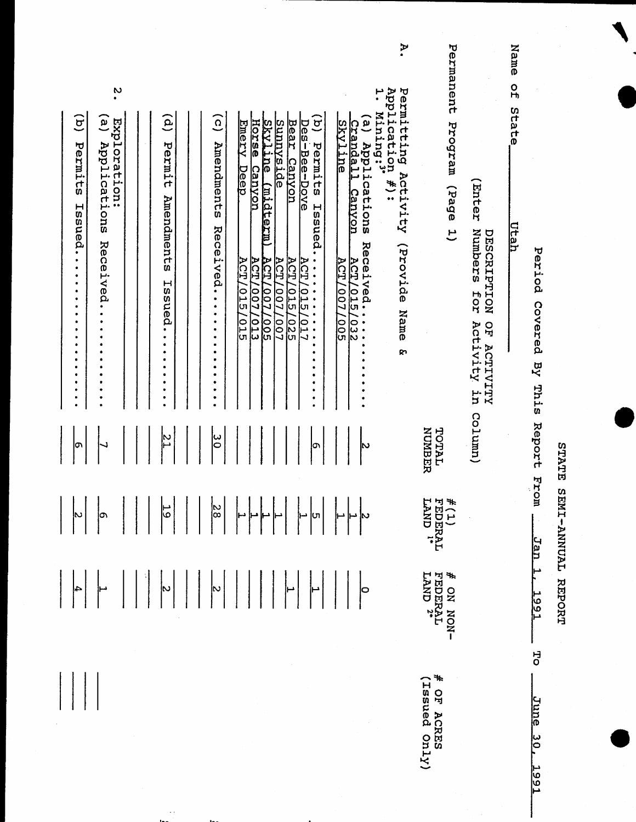| 14.1 |  |   |
|------|--|---|
|      |  | ٠ |
|      |  |   |
|      |  |   |
|      |  |   |
| ×    |  |   |
|      |  |   |
|      |  |   |
|      |  |   |

STATE SEMI-ANNUAL REPORT

Period Covered By This Report From Jan<sub>1</sub> 166T 5p June 30. **1991** 

Name of State <u>Utah</u>

(Enter Numbers for Activity in Column) DESCRIPTION OF ACTIVITY

Permanent Program (Page 1)

NUMBER TOTAL FEDERAL<br>LAND "  $f(1)$ FEDERAL<br>LAND 2\* + ON NON- $\ast$ (X<sub>Iu</sub>o panssi) OF ACRES

Application #):<br>1. Mining:" Permitting Activity (Provide Name &

À.

(a) Applications Received......... Skyline crandall Canyon **ACT/015/032 ACT/007/005** 

խ

o

(b) Permitts Issued............. Bear Canyon Emery Deep Horse Canyon Skyline (midterm) Sunnyside Des-Bee-Dove **ACT/007/005**<br>ACT/007/013 **ACT/015/017 ACT/015/015 ACT/007/007 ACT/015/025** 

(c) Amendments Received..........

 $\widehat{e}$ Permit Amendments Issued........

 $\mathbb{Z}$ 

 $\ddot{\phantom{0}}$ 

 $\ddot{\bm{c}}$  $\widehat{\mathbf{e}}$ Exploration: Applications Received........

 $\overline{G}$ Permitts Hoscled...................

 $\sigma$ 

4

 $\frac{19}{10}$  $\frac{8}{10}$ ļთ Lη þ٥ þ 4

မြ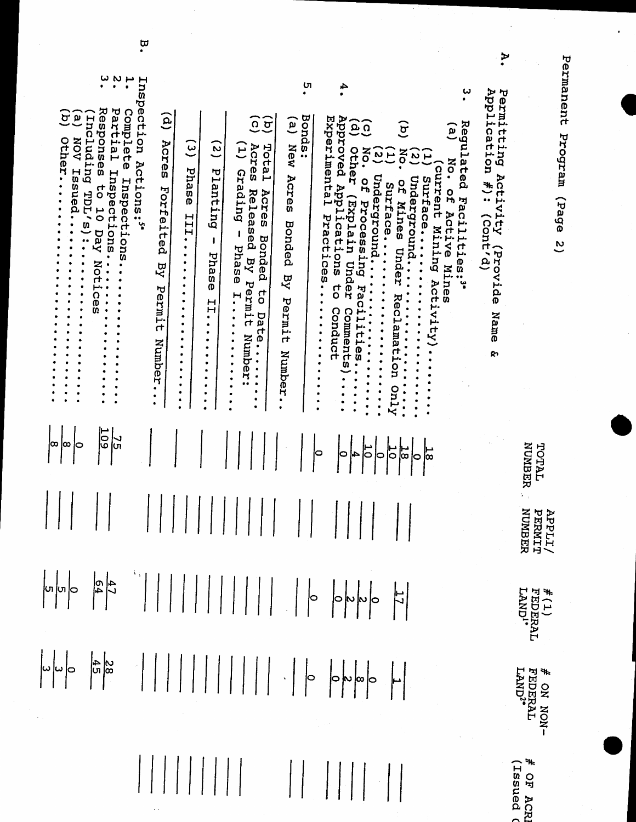Permanent Program (Page 2)

 $\ddot{\cdot}$ 

A.

| $\overset{\omega}{\cdot}$ $\overset{\omega}{\cdot}$                                                                                                                                                                                                                |                                                                                                                                                                                                                                                                                                                                                                                                                   | U                                                                                                                                                                                                                                                                                                                                                       |                                                                                                                                                                                                                                                                                                                                                                                         | ω                                                                                                                                                                                                                                                                                                                      |                                                                                                   |                                                                            |
|--------------------------------------------------------------------------------------------------------------------------------------------------------------------------------------------------------------------------------------------------------------------|-------------------------------------------------------------------------------------------------------------------------------------------------------------------------------------------------------------------------------------------------------------------------------------------------------------------------------------------------------------------------------------------------------------------|---------------------------------------------------------------------------------------------------------------------------------------------------------------------------------------------------------------------------------------------------------------------------------------------------------------------------------------------------------|-----------------------------------------------------------------------------------------------------------------------------------------------------------------------------------------------------------------------------------------------------------------------------------------------------------------------------------------------------------------------------------------|------------------------------------------------------------------------------------------------------------------------------------------------------------------------------------------------------------------------------------------------------------------------------------------------------------------------|---------------------------------------------------------------------------------------------------|----------------------------------------------------------------------------|
| Responses<br>Partial Inspections.<br>Complete<br>$\overline{a}$<br>$\tilde{\mathbf{a}}$<br><b>Including</b><br><b>AON</b><br>Other.<br>Issued<br>Inspections.<br>5 <sup>o</sup><br>TDL/<br>$\overline{0}$<br>$\frac{5}{10}$<br>Day<br>ăò<br>$\bullet$<br>$\bullet$ | Inspection<br>$\mathbf{e}$<br>Acres<br>$\tilde{\mathbf{e}}$<br>$\tilde{\mathbf{S}}$<br>Actions:"<br>Phase<br>Planting<br>Forfeited<br>III<br>٠<br>1<br>٠<br>$\bullet$<br>Phas<br>RY<br>٠<br>٠<br>Ō<br>٠<br>Permit<br>٠<br>٠<br>$\frac{1}{2}$<br>٠<br>٠<br>$\bullet$<br>$\bullet$<br>٠<br>٠<br>$\bullet$<br>٠<br>٠<br>Number.<br>٠<br>٠<br>٠<br>$\bullet$<br>$\bullet$<br>$\bullet$<br>$\bullet$<br>٠<br>$\bullet$ | Bonds:<br>$\widetilde{\mathfrak{o}}$ $\widehat{\mathfrak{o}}$<br>َم<br>New<br>Total<br>Acres<br>$\Xi$<br>Grading<br>Acres<br>Released<br>Acres<br>Bonded<br>I<br>Bonded<br>Phase<br>$\overline{R}$<br>$\overline{\mathbf{z}}$<br>Permit<br>40<br>H,<br>Permit<br>Date.<br>Number<br>$\bullet$<br>Number.<br>$\ddot{\phantom{0}}$<br>$\bullet$<br>۰<br>٠ | Approved Applications<br>Experimental<br><b>GQ</b><br>other<br>No.<br>$\overline{\omega}$ $\overline{\omega}$<br>Underground<br>œ<br>Surface<br>(Explain Under<br>Processing<br>Practices<br>Under<br>$\ddot{\phantom{0}}$<br>s<br>S<br>Facilities<br>٠<br>$\bullet$<br>Reclamat<br>$\ddot{\cdot}$<br>Conduct<br>Comment<br>٠<br>$\bullet$<br>$\bullet$<br>ror<br>ω<br><b>Aruo</b><br>۰ | Regulated Facilities:"<br>ق<br>َقِ<br>ă<br>$\mathbf{v}$<br>نير<br>No. of<br>current<br>Surface<br>Underground.<br>of Mines<br>Active Mines<br>Mining<br>$\bullet$<br>$\ddot{\cdot}$<br>$\bullet$<br>$\ddot{\cdot}$<br>Activity)<br>$\ddot{\cdot}$<br>$\ddot{\cdot}$<br>$\ddot{\cdot}$<br>$\ddot{\bullet}$<br>$\bullet$ | Application<br>Permitting<br>Activity<br>$\ddot{\ast}$ :<br>ity (Provide<br>(Cont'd)<br>Name<br>დ |                                                                            |
| $\overline{50}$<br> J<br> u<br>jœ<br>ļ∞<br>lO                                                                                                                                                                                                                      |                                                                                                                                                                                                                                                                                                                                                                                                                   |                                                                                                                                                                                                                                                                                                                                                         | 70<br>$\frac{1}{2}$<br>0                                                                                                                                                                                                                                                                                                                                                                | 18<br>بر<br>1∞<br>þ                                                                                                                                                                                                                                                                                                    |                                                                                                   | NUMBER<br>TOTAL                                                            |
|                                                                                                                                                                                                                                                                    |                                                                                                                                                                                                                                                                                                                                                                                                                   |                                                                                                                                                                                                                                                                                                                                                         |                                                                                                                                                                                                                                                                                                                                                                                         |                                                                                                                                                                                                                                                                                                                        |                                                                                                   | <b>APPLIT/<br/>PERMIT</b><br>NUMBER                                        |
|                                                                                                                                                                                                                                                                    |                                                                                                                                                                                                                                                                                                                                                                                                                   |                                                                                                                                                                                                                                                                                                                                                         |                                                                                                                                                                                                                                                                                                                                                                                         |                                                                                                                                                                                                                                                                                                                        |                                                                                                   | $\begin{array}{l} \#(1) \\ \texttt{FEDERAL} \\ \texttt{LAND!} \end{array}$ |
|                                                                                                                                                                                                                                                                    |                                                                                                                                                                                                                                                                                                                                                                                                                   |                                                                                                                                                                                                                                                                                                                                                         |                                                                                                                                                                                                                                                                                                                                                                                         |                                                                                                                                                                                                                                                                                                                        |                                                                                                   | # ON NON-<br>FEDERAL<br>LAND <sup>2*</sup>                                 |
|                                                                                                                                                                                                                                                                    |                                                                                                                                                                                                                                                                                                                                                                                                                   |                                                                                                                                                                                                                                                                                                                                                         |                                                                                                                                                                                                                                                                                                                                                                                         |                                                                                                                                                                                                                                                                                                                        |                                                                                                   | # OF ACRI<br>(ISSued C                                                     |

 $\ddot{a}$ 

 $\bar{z}$ 

 $\frac{1}{2}$ 

 $\frac{1}{2}$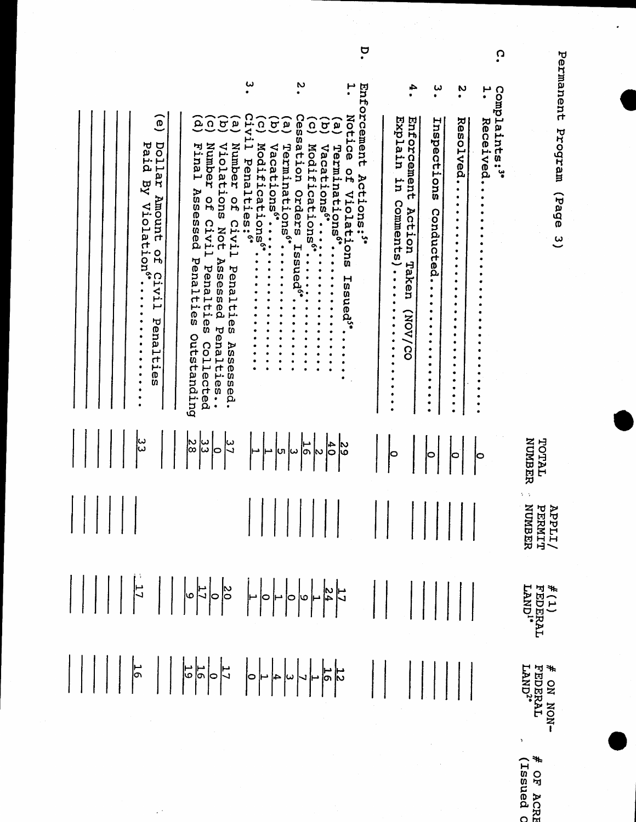$\ddot{\phantom{0}}$ 

Permanent Program (Page 3)

 $\ddot{\mathbf{c}}$ 

|                                                                                                                                                                                                                                                                                                                                                                                                                                       | ω                                                                                                                                                                                                                                                                                                                                                                 | N                                                                                                                                                                                                                                                                                                                                                                                                                   | ÷,                                                                                                             | ω<br>N<br>۰                                                                                                                                                                                          | ىم                       |                                                                               |
|---------------------------------------------------------------------------------------------------------------------------------------------------------------------------------------------------------------------------------------------------------------------------------------------------------------------------------------------------------------------------------------------------------------------------------------|-------------------------------------------------------------------------------------------------------------------------------------------------------------------------------------------------------------------------------------------------------------------------------------------------------------------------------------------------------------------|---------------------------------------------------------------------------------------------------------------------------------------------------------------------------------------------------------------------------------------------------------------------------------------------------------------------------------------------------------------------------------------------------------------------|----------------------------------------------------------------------------------------------------------------|------------------------------------------------------------------------------------------------------------------------------------------------------------------------------------------------------|--------------------------|-------------------------------------------------------------------------------|
| $\overline{0}$<br><b>Dollar</b><br>Paid<br>$K_{\mathbf{S}}$<br>Amount<br>Violation"<br>$\frac{0}{4}$<br>ဂ<br>IV1<br>ىز<br>Penaltie<br>$\bullet$<br>w                                                                                                                                                                                                                                                                                  | civi<br>$\Omega$<br>$\sigma$<br>َمِ<br>ρ<br>$\Omega$<br>Violations<br>Number<br>ىم<br>Number<br>Final<br>Modifications<br>Penalti<br>Assessed<br>$\mathbf{a}$<br>$\frac{0}{4}$<br>$es:6*$<br>civi<br>Civi<br>Not<br>ິ<br>ب<br>Penalties<br>Assessed<br>Penalties<br>Penalties<br>Penalt<br>Outstanding<br>Collected<br>Ass<br>O<br>O<br>ies.<br>sed.<br>$\bullet$ | Enforcement<br>Notice<br><b>Ces</b><br>َمِ<br>$\sigma$<br>$\overline{\mathbf{o}}$<br>$\sigma$<br>$\mathbf{a}$<br>sation<br>Vacations <sup>6</sup><br>Terminations <sup>6</sup> *<br>Modifications<br>Vacations <sup>6</sup><br>Terminat<br>$\frac{0}{H}$<br>Actions:"<br>Orders<br>Violat<br><b>Lons<sup>6</sup>*</b><br>$\ddot{\cdot}$<br>٠<br>٩<br><b>Ons</b><br>Н<br>'n<br>m<br>c<br>ው<br>ር<br><b>hs</b><br>sued | Explain<br>Enforcement<br>H.<br><b>Comments</b><br>Action Taken<br>$\ddot{\cdot}$<br>$\bullet$<br>٠<br>(NOV/CO | Inspections<br><b>Resolved.</b><br>Conducted.<br>٠<br>٠<br>٠<br>$\bullet$<br>٠<br>٠<br>٠<br>۰<br>٠<br>٠<br>٠<br>٠<br>٠<br>٠<br>٠<br>$\bullet$<br>٠<br>۰<br>٠<br>٠<br>٠<br>٠<br>٠<br>۰<br>٠<br>٠<br>٠ | Complaints:"<br>Received | nt a th<br>radaa<br>1                                                         |
| ယ<br> ယ                                                                                                                                                                                                                                                                                                                                                                                                                               | N<br> ∞<br>ယြ<br>$\frac{1}{2}$<br>10                                                                                                                                                                                                                                                                                                                              | $\frac{4}{5}$<br>သ<br> −<br> თ<br>lហ<br>ωا                                                                                                                                                                                                                                                                                                                                                                          |                                                                                                                |                                                                                                                                                                                                      |                          | NUMBER<br>TOTAL                                                               |
|                                                                                                                                                                                                                                                                                                                                                                                                                                       |                                                                                                                                                                                                                                                                                                                                                                   |                                                                                                                                                                                                                                                                                                                                                                                                                     |                                                                                                                |                                                                                                                                                                                                      |                          | <b>APPLIT/<br/>PERMIT</b><br>NUMBER                                           |
|                                                                                                                                                                                                                                                                                                                                                                                                                                       |                                                                                                                                                                                                                                                                                                                                                                   |                                                                                                                                                                                                                                                                                                                                                                                                                     |                                                                                                                |                                                                                                                                                                                                      |                          | $\begin{array}{l} \text{\#(1)} \\ \text{FEDERAL} \\ \text{LANDI} \end{array}$ |
| $\begin{array}{ c c c c c c c c c c } \hline \  \  \, & \quad \  \, \, & \quad \  \, & \quad \  \, & \quad \  \, & \quad \  \, & \quad \  \, & \quad \  \, & \quad \  \, & \quad \  \, & \quad \  \, & \quad \  \, & \quad \  \, & \quad \  \, & \quad \  \, & \quad \  \, & \quad \  \, & \quad \  \, & \quad \  \, & \quad \  \, & \quad \  \, & \quad \  \, & \quad \  \, & \quad \  \, & \quad \  \, & \quad \  \, & \quad \  \,$ |                                                                                                                                                                                                                                                                                                                                                                   |                                                                                                                                                                                                                                                                                                                                                                                                                     |                                                                                                                |                                                                                                                                                                                                      |                          | # ON NON-<br>FEDERAL<br>LAND <sup>2+</sup>                                    |
|                                                                                                                                                                                                                                                                                                                                                                                                                                       |                                                                                                                                                                                                                                                                                                                                                                   |                                                                                                                                                                                                                                                                                                                                                                                                                     |                                                                                                                |                                                                                                                                                                                                      |                          |                                                                               |

 $\mathbb{R}^2$ 

# OF ACRE<br>(ISSued O

p.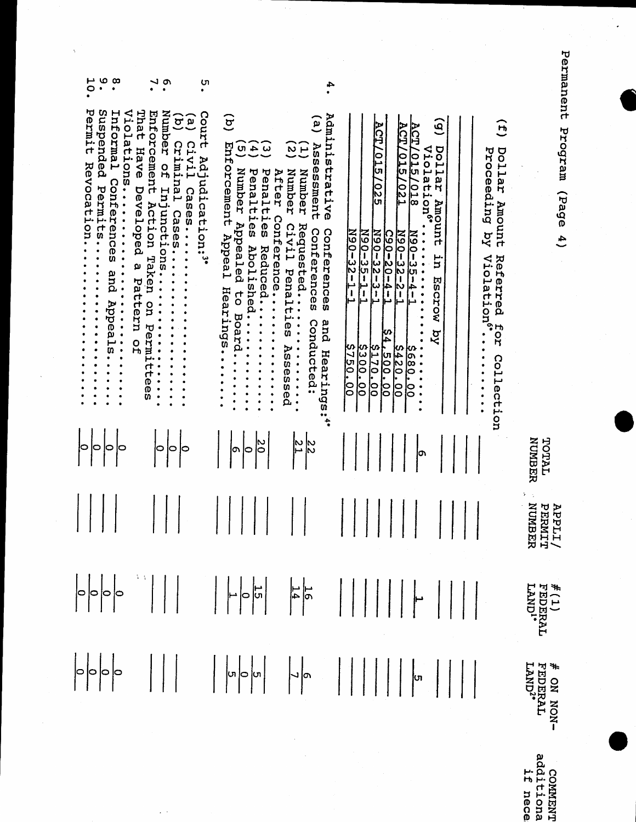Permanent Program (Page 4)

 $\frac{1}{2}$ 

 $\ddot{\phantom{0}}$ 

**APPLI/<br>TOTAL PERNIT<br>NUMBER NUMBER**  $\frac{\#(1)}{\text{FEDERAL}}$ <br>FEDERAL # ON NON-<br>FEDERAL<br>LAND<sup>2\*</sup>

ò

| ە ب<br>$\infty$<br>0                                                                                                                                                                                                                                                         | $\cdot$<br>ပာ                                                                                                                                                                                                                                                                                                           |                                                                                                                                                                                                                                                  | 4                                                                                                                                                                                                                                                              |                                                                                                                                                                                                                                                                                                                     |                                                                                                                                                                                                                                                                |
|------------------------------------------------------------------------------------------------------------------------------------------------------------------------------------------------------------------------------------------------------------------------------|-------------------------------------------------------------------------------------------------------------------------------------------------------------------------------------------------------------------------------------------------------------------------------------------------------------------------|--------------------------------------------------------------------------------------------------------------------------------------------------------------------------------------------------------------------------------------------------|----------------------------------------------------------------------------------------------------------------------------------------------------------------------------------------------------------------------------------------------------------------|---------------------------------------------------------------------------------------------------------------------------------------------------------------------------------------------------------------------------------------------------------------------------------------------------------------------|----------------------------------------------------------------------------------------------------------------------------------------------------------------------------------------------------------------------------------------------------------------|
| Permit<br>Suspended<br>Violations<br>Informal<br>Revocation.<br>Conferences<br>Permits<br>$\ddot{\cdot}$<br>and<br>$\bullet$<br>Appeal<br>$\ddot{\cdot}$ $\ddot{\cdot}$ $\ddot{\cdot}$<br>$\begin{array}{c} \bullet \\ \bullet \\ \bullet \\ \bullet \end{array}$<br>ັທ<br>۰ | That<br>Enforcement<br>Number<br>Court<br>e)<br>C<br>$\overline{c}$<br>Criminal<br>Civil<br>Have<br>LPY.<br>OH<br>udication:"<br>Injunctions<br>Developed<br>Cases<br>Action Taken<br>Cases<br>ΩJ<br>$\bullet$<br>Pattern<br>on<br>$\ddot{\cdot}$<br>Permi<br>$\bullet$<br>$\ddot{\cdot}$<br>o<br>H<br>.<br>ი<br>w<br>۰ | $\tilde{\mathbf{a}}$<br>Enforcement Appeal<br>ູບາ<br>$\omega$ 4<br>Number<br>Penalties<br>Penalties<br>After<br>Conference<br>Appealed<br>Abolished<br>Reduced<br>Hearings<br>đ<br>Board<br>$\bullet$<br>$\bullet$<br>$\ddot{\phantom{a}}$<br>20 | Administrative<br>ۣ<br>Assessment<br>یر ی<br>Number<br>Number<br>Requested<br>Civil<br>Conferences<br>Conferences<br>Penalties<br>Conducted<br>and<br>$\bullet$<br>$\bullet$<br>$\bullet$<br>Assessed<br><b>•••••••••</b><br>Hearings:"<br>İΝ<br>$\frac{8}{3}$ | <b>ACT/015</b><br><b>ACT/</b><br><b>ACT/015/018</b><br><u>(015</u><br>TZOT.<br><u> 255</u><br>$N90 - 32 - 1 - 1$<br>N90-35-1-<br>$120 - 3 - 3 - 1$<br>$N90 - 32 - 2 -$<br>$N90 - 35 - 4 -$<br>$C90 - 20 - 4 -$<br>دا<br>⊢<br>سا<br>있<br>4<br>S750.00<br>00.002.<br><b>S300.00</b><br>\$170.00<br>5420.00<br>S680.00 | $\mathbf{e}$<br>H<br>po<br>Violation <sup>6</sup><br>Proceeding by<br><b>Dollar</b><br>Ē<br>Tar<br>Amount<br>Amount<br>Violation <sup>6</sup><br>Referred<br>. س<br>Б<br>$\ddot{\cdot}$<br>Escrow<br>$\ddot{\bullet}$<br>Eor<br>$\overline{K}$ q<br>Collection |
| 0<br>0                                                                                                                                                                                                                                                                       | 0<br>lФ                                                                                                                                                                                                                                                                                                                 | 0                                                                                                                                                                                                                                                |                                                                                                                                                                                                                                                                |                                                                                                                                                                                                                                                                                                                     |                                                                                                                                                                                                                                                                |
|                                                                                                                                                                                                                                                                              |                                                                                                                                                                                                                                                                                                                         |                                                                                                                                                                                                                                                  |                                                                                                                                                                                                                                                                |                                                                                                                                                                                                                                                                                                                     |                                                                                                                                                                                                                                                                |
|                                                                                                                                                                                                                                                                              |                                                                                                                                                                                                                                                                                                                         |                                                                                                                                                                                                                                                  |                                                                                                                                                                                                                                                                |                                                                                                                                                                                                                                                                                                                     |                                                                                                                                                                                                                                                                |
|                                                                                                                                                                                                                                                                              |                                                                                                                                                                                                                                                                                                                         |                                                                                                                                                                                                                                                  |                                                                                                                                                                                                                                                                |                                                                                                                                                                                                                                                                                                                     |                                                                                                                                                                                                                                                                |
|                                                                                                                                                                                                                                                                              |                                                                                                                                                                                                                                                                                                                         |                                                                                                                                                                                                                                                  |                                                                                                                                                                                                                                                                |                                                                                                                                                                                                                                                                                                                     |                                                                                                                                                                                                                                                                |

 $\hat{e}$  ).

COMMENT<br>additiona<br>if nece: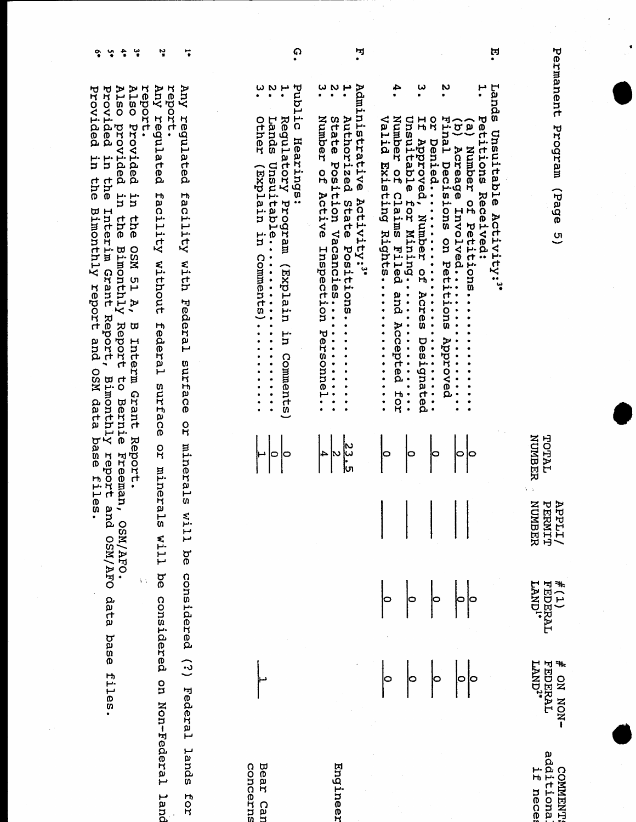| ដុ                                | Permanent<br>Eands<br>Program (Page 5)<br>Unsuitable<br>Activity:3*                                                                                                                                                                                                                                                                                                                                                                                                                       | <b>NUMBER</b><br>TOTAL   | NUMBER<br><b>APPLI/1</b><br>PEPMIT | $\frac{\#(1)}{\text{FEDERAL}}$<br>LAND <sup>1</sup> * | <b>FEDERAL</b><br>4<br>$\text{LAND}^{2*}$<br>-NON NO              |
|-----------------------------------|-------------------------------------------------------------------------------------------------------------------------------------------------------------------------------------------------------------------------------------------------------------------------------------------------------------------------------------------------------------------------------------------------------------------------------------------------------------------------------------------|--------------------------|------------------------------------|-------------------------------------------------------|-------------------------------------------------------------------|
| N<br>ب<br>•<br>≏<br>ω             | Valid<br>Number<br>Petitions<br>Unsuitable<br>R<br>H<br>H<br>(b) Acreage Inv<br>Final Decisions<br>$\left( \begin{matrix} \mathbf{e} \end{matrix} \right)$<br>Approved, Number<br><b>Denied</b><br>Number<br>putistixg<br>$\frac{0}{H}$<br>Received:<br>Claims Filed<br>Eor<br>OH<br>Involved<br>.ons on Petitions<br>Petitions.<br>Rights<br>non<br>O<br>T<br>and Accepted<br><b></b><br>Acres<br>$\ddot{\bullet}$ $\dot{\bullet}$ $\ddot{\bullet}$<br>Approved<br>Designated<br><br>HOT |                          |                                    | ļΦ<br>0<br>$\circ$<br>$\circ$                         | ļо<br>0                                                           |
| N<br>ω                            | Administrative<br><b>Authorized</b><br>Number<br>State<br>ized State Positions<br>Position Vacancies<br>O<br>H<br>Active<br>Activity:3*<br>Positions<br>Inspection<br>Personnel.                                                                                                                                                                                                                                                                                                          | ی<br> تا<br> تا<br>4     |                                    |                                                       |                                                                   |
| $\omega$ $\omega$<br>$\mathbf{H}$ | Public<br>Regulatory<br><b>Other</b><br>Lands<br>Hearings:<br>Constitution<br>urerdxu)<br>mezpoza<br>in.<br>Comments<br>uterdxH)<br>$\ddot{\cdot}$<br>ur.<br>.<br>Comments)                                                                                                                                                                                                                                                                                                               | $\circ$<br>10            |                                    |                                                       |                                                                   |
|                                   | Xuy<br><b>Auy</b><br>report.<br>regulated<br>regulated<br>facility<br>facility<br>without<br>with<br>Federal<br>federal<br>surface<br>surface<br><b>QT</b>                                                                                                                                                                                                                                                                                                                                | minerals<br>qr<br>minera |                                    | IIM SI<br>will be<br>Ъê                               | considered (?) Federal lands<br>considered<br>on Non-Federal land |
|                                   | Also<br>report.<br>Provided<br>H.<br><b>the</b><br><b>NSO</b><br>LG<br>À,<br>$\sigma$<br>Interm<br><b>Grant</b>                                                                                                                                                                                                                                                                                                                                                                           | Report.                  |                                    | $\mathcal{C}$                                         |                                                                   |

Also provided in the Bimonthly Report to Bernie Freeman, OSM/AFO.<br>Provided in the Interim Grant Report, Bimonthly report and OSM/AFO data base files.<br>Provided in the Bimonthly report and OSM data base files.

 $\begin{array}{ccc} \bullet\quad \ \ \, \bullet\quad \ \ \, \bullet\quad \ \ \bullet\quad \ \ \bullet\quad \ \ \bullet\quad \ \ \bullet\quad \ \ \bullet\quad \ \ \bullet\quad \ \ \bullet\quad \ \ \bullet\quad \ \ \bullet\quad \ \ \bullet\quad \ \ \bullet\quad \ \ \bullet\quad \ \ \bullet\quad \ \ \bullet\quad \ \ \bullet\quad \ \ \bullet\quad \ \ \bullet\quad \ \ \bullet\quad \ \ \bullet\quad \ \ \bullet\quad \ \ \bullet\quad \ \ \bullet\quad \ \ \bullet\quad \ \ \$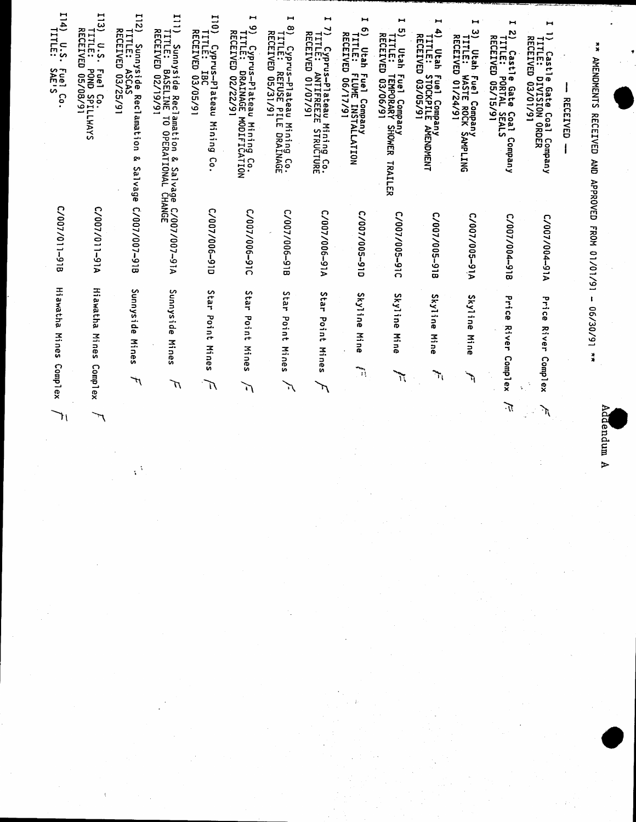| p      |  |
|--------|--|
| É<br>ര |  |
| p<br>≏ |  |
| 巨      |  |
|        |  |

\*\* AMENDMENTS RECEIVED AND APPROVED FROM 01/01/91 - 06/30/91 \*\*

| RECEIVED                                                                                                                     |               |                                                   |               |
|------------------------------------------------------------------------------------------------------------------------------|---------------|---------------------------------------------------|---------------|
| ы<br>I) Castle<br>TITLE: DI<br>RECEIVED 0<br>le Gate Coal Company<br>DIVISION ORDER<br>D 03/01/91                            | V16-100/100/3 | $\vec{J}$<br>c,<br><b>River</b><br>Complex        | ो।            |
| н<br>N<br>RECEIVED<br>TITLE:<br>Castle<br><b>e Gate Cox</b><br>PORTAL SE<br>PORTAL SE<br>Coal<br>SEALS<br>Company            | C/007/004-918 | Price<br>River<br>Complex                         | $\tilde{\pi}$ |
| н<br>$\tilde{\mathbf{c}}$<br>TITLE: Y<br>RECEIVED<br><b>Utah</b><br>Fuel Company<br>WASTE ROCK SAMPLING<br>D 01/24/91        | Vi6-900/200/3 | Sky1ine<br>Mine<br>سيكملح                         |               |
| $\blacksquare$<br>$\mathbf{f}$<br>TITLE: :<br>Utah<br>Fuel Company<br>STOCKPILE AMENDMENT<br>03/05/91                        | C/007/005-918 | Skyline<br>Mine<br>$\mathcal{A}$                  |               |
| $\blacksquare$<br>tπ,<br>TITLE: 1<br>RECEIVED<br>Utah<br>Fuel Company<br>TEMPORARY SHOWER<br>D 03/06/91<br>TRAILER           | 0/007/005-91C | Skyline<br>Mine<br>يكتمه                          |               |
| $\blacksquare$<br>్రా<br>TITLE: F<br>Utah<br>Fuel Company<br>FLUME INSTALLATION<br>  06/17/91                                | C/007/005-91D | Skyline<br>3<br>$\vec{a}$<br>$\ddot{\gamma}$      |               |
| $\blacksquare$<br>7) Cyprus-Plateau Mining<br>TITLE: ANTIFREEZE STRUC<br>RECEIVED 01/07/91<br><b>JURE</b>                    | L/007/006-91A | Star<br>Point<br>Mine<br>w<br>π                   |               |
| $\blacksquare$<br>్ర<br>) Cyprus-Plateau Mining Co.<br>TITLE: REFUSE PILE DRAINAGE<br>RECEIVED 05/31/91                      | C/007/006-91B | <b>S</b><br>ia<br>Ed<br>Point<br>Mines<br>Л       |               |
| $\mathbf{\mathbf{H}}$<br>ہ<br>) Cyprus–Plateau Mining Co.<br>TITLE: DRAINAGE MODIFICATION<br>RECEIVED 02/22/91               | C/007/006-91C | S<br>tar<br>Point<br>Mines<br>$\mathcal{L}$       |               |
| 110<br>RECEIVED<br>TITLE:<br>Cyprus-Plateau<br><b>IBC</b><br>16/50/20<br>Mining<br>ွာ                                        | C/007/006-91D | Star<br>Point<br><b>Mines</b><br>L                |               |
| 1111<br>TITLE: B<br>RECEIVED<br>Sunnyside Reclamation & Salvage C/O<br>'LE: BASELINE TO OPERATIONAL CHANGE<br>EIVED 02/19/91 | L/007/007-91A | Sunnyside<br>Mines<br>T                           |               |
| 112)<br>TITLE: /<br>Sunnyside Recla<br>TLE: ASCAS<br>CEIVED 03/25/91<br>Reclamat<br>i<br>S<br>Q٥<br>Salvage                  | 6/007/007-918 | Sunnyside<br>Mines<br>$\vec{r}$                   |               |
| 113)<br>TITLE: I<br>0.5.<br>16/80/90 0<br>hom Spil<br>Fuel Co.<br>CO.<br>SPILLWAYS                                           | C/007/011-91A | E.<br>awatha<br>Mine:<br>n<br>Comp <sub>lex</sub> |               |
| I14) U.S.<br>Fuel (<br>S                                                                                                     | C/007/011-918 | Hiawatha<br>Mines<br>Complex                      |               |

٦١

 $\frac{1}{4}$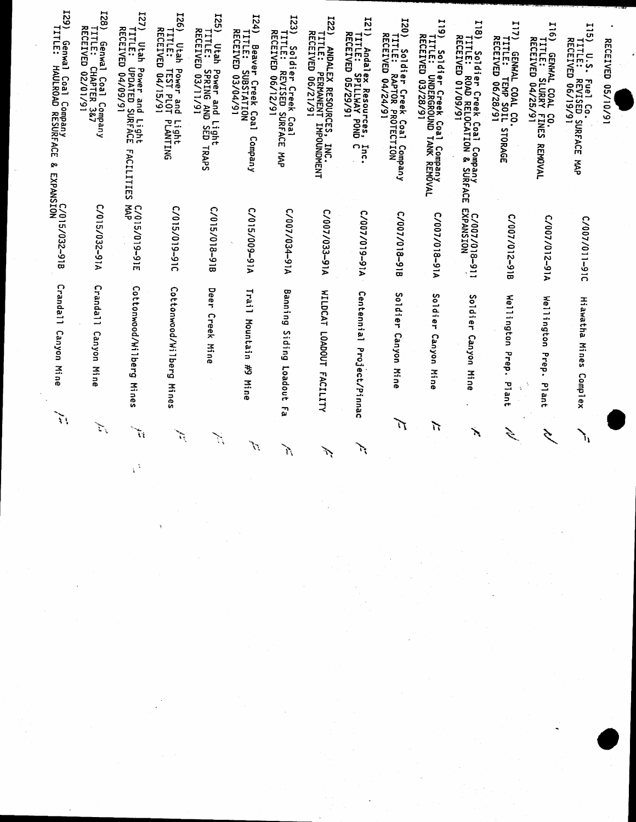| $\frac{129}{121}$<br>) Genwal<br>TITLE: HA<br>ll Coal Company<br>HAULROAD RESURF<br>ΑCΕ<br>ନ୍ଦୁ<br>EXPANSION<br>EXPANSION | <b>IZ8</b><br>TITLE: C<br>Genwal<br>«al Coal Company<br>СНАРТЕR 3&7<br>:D 02/01/91 | 127<br>7) Utah F<br>TITLE: U<br>RECEIVED<br>⊓ Power and Light<br>UPDATED SURFACE<br>ID 04/09/91<br>ᆩ<br>ACILITIES | 921<br>TITLE: 1<br>RECEIVED<br>Utah<br>Power and<br>TEST PLOT<br>D 04/15/91<br>Light<br>PLANTING | <b>I25)</b><br>TITLE: S<br>Utah<br>Power and L<br>SPRING AND<br>D 03/11/91<br>and Light<br>G AND SED 1<br><b>TRAPS</b> | 124)<br>) Beaver Creek Coal<br>TITLE: SUBSTATION<br>RECEIVED 03/04/91<br>Company | <b>I23</b><br>) Soldier Creek Coal<br>TITLE: REVISED SURFA<br>RECEIVED 06/12/91<br><b>ACE</b><br><b>AAP</b> | <b>I22</b><br>) ANDALEX RESOURCES, INC.<br>TITLE: PERMANENT IMPOUNDMENT<br>RECEIVED 06/21/91 | <b>IZI</b><br>TITLE: S<br>↩<br>Andalex Resources,<br>TLE: SPILLWAY POND<br>CEIVED 05/29/91<br>$\frac{5}{6}$<br>$\bullet$ | <b>I20</b><br>l) Soldier Creek Coal Company<br>TITLE: RAPTOR PROTECTION<br>RECEIVED 04/24/91 | <b>513</b><br>)) Soldier Creek Coal<br>TITLE: UNDERGROUND T<br>RECEIVED 03/28/91<br>I Company<br>TANK REMOVAL | I18) Soldier Creek Coal Company<br>TITLE: ROAD RELOCATION & SURFACE<br>RECEIVED 01/09/91 | 117<br>) GENWAL COAL CO.<br>TITLE: TEMP SOIL<br>RECEIVED 06/28/91<br>STORAG<br>m | 91T<br>6) GENWAL COAL<br>TITLE: SLURRY<br>RECEIVED 04/25/<br>L CO.<br>/ FINES<br>1/91<br><b>REMOVAL</b> | <b>S11</b><br>TITLE: R<br>RECEIVED<br>0.5.<br>Fuel Co.<br>REVISED SURFACE<br>D 06/19/91<br>ž | <b>KECEIVED</b><br>16/01/50 |
|---------------------------------------------------------------------------------------------------------------------------|------------------------------------------------------------------------------------|-------------------------------------------------------------------------------------------------------------------|--------------------------------------------------------------------------------------------------|------------------------------------------------------------------------------------------------------------------------|----------------------------------------------------------------------------------|-------------------------------------------------------------------------------------------------------------|----------------------------------------------------------------------------------------------|--------------------------------------------------------------------------------------------------------------------------|----------------------------------------------------------------------------------------------|---------------------------------------------------------------------------------------------------------------|------------------------------------------------------------------------------------------|----------------------------------------------------------------------------------|---------------------------------------------------------------------------------------------------------|----------------------------------------------------------------------------------------------|-----------------------------|
| 5/032-918                                                                                                                 | C/015/032-91A                                                                      | C/015/019-91E                                                                                                     | 0/015/019-910                                                                                    | C/015/018-918                                                                                                          | V16-600/S10/3                                                                    | C/007/034-91A                                                                                               | C/007/033-91A                                                                                | V16-610/200/3                                                                                                            | C/007/018-91B                                                                                | ဂ<br>V16-810/100/                                                                                             | C/007/018-911<br>EXPANSION                                                               | ົ<br>/007/012-91B                                                                | C/007/012-91A                                                                                           | C/007/011-91C                                                                                |                             |
| Crandall<br>Canyon<br>Mine                                                                                                | Crandall<br>Canyon<br>Mine                                                         | Cottonwood/Wilberg<br>Mines                                                                                       | ငွ<br>ttonwood/Wilberg<br>Mine<br>w                                                              | Dee<br>7<br>Creek<br>Mine                                                                                              | Trai<br>ت<br>Mountain<br>\$<br>Mine                                              | œ<br>Janning<br>Siding<br>toadout<br>بر<br>نو                                                               | <b>HILDCAT</b><br>LOQADOUT<br>FACILITY                                                       | Centennial<br>Project/Pinnac                                                                                             | u<br>ib <sub>1di</sub><br>e-<br>Canyon<br>Ξ<br>្លុ                                           | Soldier<br>Canyon<br>Ξ<br>$\Rightarrow$<br>ö                                                                  | s<br>o<br>1 q<br><br>n<br>7<br>Canyon<br>Mine                                            | <b>Wellington</b><br>Prep<br>$\bullet$<br>Plan<br>÷<br>←                         | Wellington<br>Prep.<br>Plant                                                                            | Hi awatha<br>Mines<br>Comp1<br>χĐ                                                            |                             |
| $\sum_{i=1}^n$                                                                                                            | $\sum_{\mathbf{k}}$                                                                | $\frac{1}{M}$                                                                                                     |                                                                                                  | Y.                                                                                                                     | $\mathcal{L}^{k'}$                                                               | Ñ                                                                                                           | ŕ,                                                                                           | بمي                                                                                                                      | 辽                                                                                            | ν                                                                                                             | ٦                                                                                        | $\hat{\mathcal{L}}$                                                              | É                                                                                                       | ١,                                                                                           |                             |

 $\chi^A$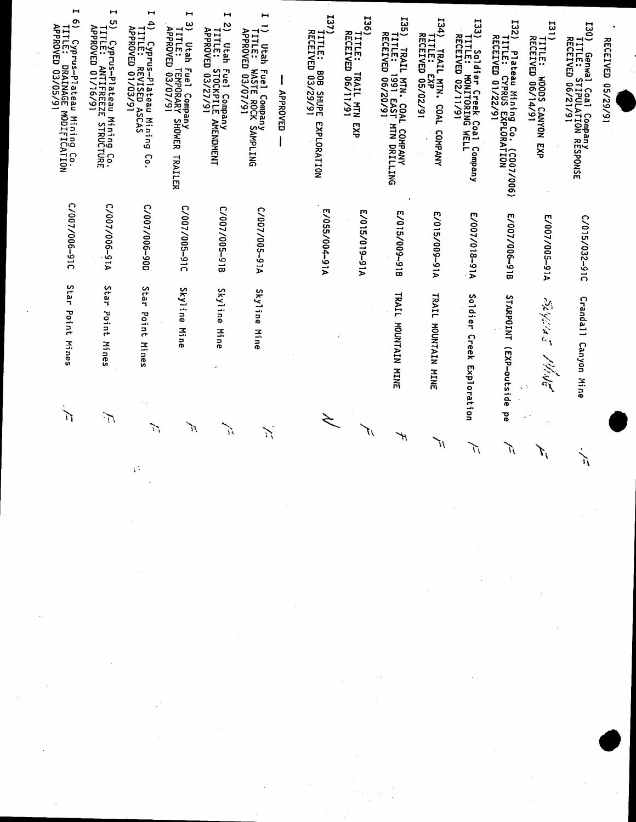| Н<br>ల్ర<br>TITLE: C                                                     | н<br>LΠ,                                                                        | ⊶<br>$\ddot{4}$                                                             | н<br>ల<br>TITLE: 1<br>APPROVED<br>Utah<br><b>Fue1</b>                  | ī<br>N<br>◡<br><b>TITLE: STOCKPILE</b><br>APPROVED 03/27/91<br>Utah | ⊶<br>$\equiv$<br>TITLE: W<br>Utah                 |                 | 137<br>TITLE: B<br>RECEIVED             | 536<br>TITLE: 1<br>RECEIVED    | 525<br>TITLE: 1<br>RECEIVED<br>TRAIL                                | I34)<br>4) TRAIL MTN. COAL<br>TITLE: EXP<br>RECEIVED 05/02/91 | <b>I33</b>                                                                                             | <b>I32)</b>                                                                       | 131                                                   | 130)<br>)) Genwal<br>TITLE: ST<br>RECEIVED 0          |                          |
|--------------------------------------------------------------------------|---------------------------------------------------------------------------------|-----------------------------------------------------------------------------|------------------------------------------------------------------------|---------------------------------------------------------------------|---------------------------------------------------|-----------------|-----------------------------------------|--------------------------------|---------------------------------------------------------------------|---------------------------------------------------------------|--------------------------------------------------------------------------------------------------------|-----------------------------------------------------------------------------------|-------------------------------------------------------|-------------------------------------------------------|--------------------------|
| Сургиs-Plateau Mining Co.<br>LE: DRAINAGE MODIFICATION<br>ROVED 03/05/91 | ) Cyprus-Plateau Mining Co.<br>TITLE: ANTIFREEZE STRUCTURE<br>APPROVED 01/16/91 | ) Cyprus-Plateau Mining<br>TITLE: REVISED ASCAS<br>APPROVED 01/03/91<br>Co. | <b>TEMPORARY</b><br>TEMPORARY<br>I Сотрапу<br>РОRARY SHOWER<br>TRAILER | Fuel Company<br>STOCKPILE AMENDMENT                                 | Fuel Company<br>WASTE ROCK SAMPLING<br>1 03/07/91 | <b>APPROVED</b> | ទីនិ<br>3 SHUPE<br>29/91<br>EXPLORATION | TRAIL MTN<br>D 06/11/91<br>EXP | L MTN. COAL<br>1991 EAST M<br>D 06/20/91<br>MTN DRILLING<br>COMPANY | COAL<br>COMPANY                                               | <sup>)</sup> Soldier Creek Coal<br>TITLE: MONITORING WE<br>RECEIVED 02/11/91<br><b>MELL</b><br>Company | ) Plateau Mining Co. (COO7/006)<br>TITLE: CYPRUS EXPLORATION<br>RECEIVED 01/22/91 | <b>TITLE: WOODS CANYON</b><br>RECEIVED 06/14/91<br>ξX | ıl Coal Company<br>STIPULATION RESPONSE<br>) 06/21/91 | <b>RECEIVED 05/29/91</b> |
| 0/007/006-910                                                            | V16-900/100/3                                                                   | C/007/006-90D                                                               | C/007/005-91C                                                          | C/007/005-918                                                       | V16-S00/100/3                                     |                 | т<br>A125/004-91A                       | A19-9197-91A                   | E/015/009-918                                                       | E/015/009-91A                                                 | E/007/018-91A                                                                                          | E/007/006-918                                                                     | E/007/005-91A                                         | C/015/032-91C                                         |                          |
| S<br>itar<br>Point<br>Mines                                              | <b>Star</b><br>Point<br>Mines                                                   | Star<br>Point<br><b>Mines</b>                                               | Skyline<br>Mine                                                        | Skyline<br>Mine                                                     | Skyline<br>Mine                                   |                 |                                         |                                | TLAIL<br>MOUNTAIN MINE                                              | <b>TRAIL</b><br>MITATNUON<br><b>HINE</b>                      | Soldier<br>Creek<br>Exploration                                                                        | <b>STARPOINT</b><br>(EXP-outs<br>$\ddot{\phantom{a}}$<br>ت<br>م                   | いちだん<br><b>Mg</b>                                     | Crandal <sup>1</sup><br>Canyon Mine                   |                          |
| $\sum_{i=1}^{n}$                                                         | $\sum_{i=1}^n$                                                                  | $\sum_{i=1}^{n}$                                                            | 'n                                                                     | مبلو                                                                | $\sum_{i=1}^n$                                    |                 |                                         | 71                             | Ψ                                                                   |                                                               | N                                                                                                      | る<br>r.                                                                           |                                                       |                                                       |                          |

 $\mathcal{O}$ 

Ũ

 $\sum_{i=1}^{n}$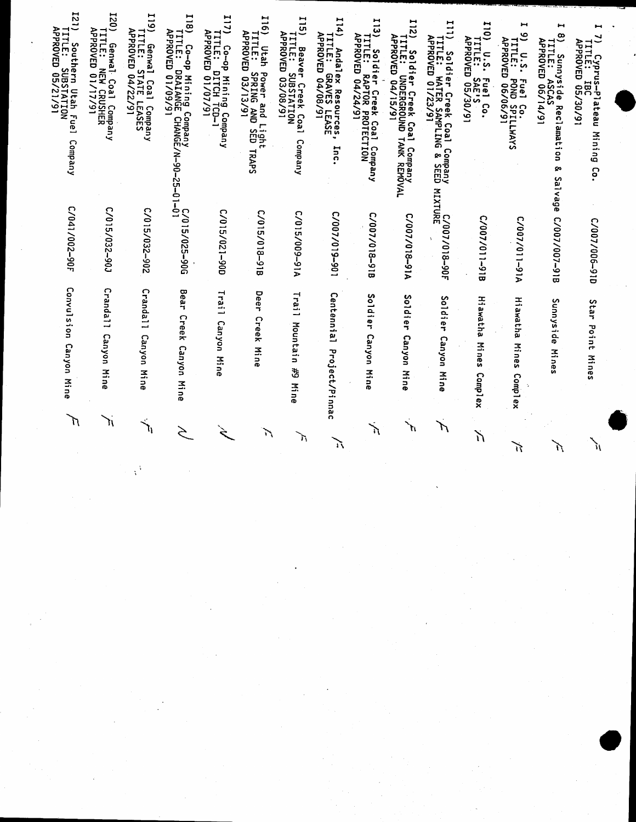| 121)<br>TITLE: S<br>Southern<br>SUBSTATION<br>TO 05/21/91<br>Utah Fuel<br>Company | <b>I20)</b><br><b>APPROVED</b><br><b>ITLE:</b><br>Genwal Coal Company<br><b>NEW CRUSHER</b><br>0 01/17/91 | 119)<br><b>TITLE: STATE LEA<br/>APPROVED 04/22/91</b><br>Genwal<br>Coal<br>l Company<br><u>: LEASES</u> | 118<br>) Co-op Mining Company<br>TITLE: DRAIANGE CHANGE/N-90-25-01-0<br>APPROVED 01/09/91 | <b>I17)</b><br>) Co-op Mining Company<br>TITLE: DITCH TCD-1<br>APPROVED 01/07/91 | <b>116)</b><br>TITLE: S<br>Utah Power and L<br>TLE: SPRING AND<br>PROVED 03/13/91<br>and Light<br>G AND SED 1<br>TRAPS | $\frac{1}{2}$<br>) Beaver Creek Coal<br>TITLE: SUBSTATION<br>APPROVED 03/08/91<br>Company | 114)<br>TITLE: G<br>APPROVED<br>Andalex Resources,<br>LE: GRAVES LEASE<br>16/80/70<br>Inc | $\frac{1}{2}$<br>) Soldier Creek Coal Company<br>TITLE: RAPTOR PROTECTION<br>APPROVED 04/24/91 | 121<br>) Soldier Creek Coal<br>TITLE: UNDERGROUND T/<br>APPROVED 04/15/91<br>TANK<br>  Сотрапу<br>  Сотрапу | 111<br>) Soldier Creek Coal (<br>TITLE: WATER SAMPLING<br>APPROVED 01/23/91<br>Company<br>G & SEED | 110<br><b>APPROVED</b><br><b>TTLE:</b><br>$\overline{u}$ . S.<br>Fuel Co.<br>SAE'S<br>D 05/30/91 | Н<br>ಲ<br>) U.S. Fuel Co.<br>TITLE: POND SPILLWAYS<br>APPROVED 06/06/91 | $\ddot{}$<br>$\infty$<br>APROVED 06/14/91<br>ت<br>TITLE:<br>Sunnyside F<br>TLE: ASCAS<br>Reclamation<br>٥o<br>Salvage | ⊢<br>$\tilde{z}$<br>TITLE: IBC<br>APPROVED 05/30/91<br>) Cyprus-Plateau<br>TITLE: IBC<br>Mining<br>င် <b>့</b> |
|-----------------------------------------------------------------------------------|-----------------------------------------------------------------------------------------------------------|---------------------------------------------------------------------------------------------------------|-------------------------------------------------------------------------------------------|----------------------------------------------------------------------------------|------------------------------------------------------------------------------------------------------------------------|-------------------------------------------------------------------------------------------|-------------------------------------------------------------------------------------------|------------------------------------------------------------------------------------------------|-------------------------------------------------------------------------------------------------------------|----------------------------------------------------------------------------------------------------|--------------------------------------------------------------------------------------------------|-------------------------------------------------------------------------|-----------------------------------------------------------------------------------------------------------------------|----------------------------------------------------------------------------------------------------------------|
| C/041/002-90F                                                                     | C06-220/S10/J                                                                                             | C/015/032-902                                                                                           | C/015/025-90G                                                                             | 006-120/510/3                                                                    | C/015/018-918                                                                                                          | L/015/009-91A                                                                             | 106-610/200/3                                                                             | C/007/018-91B                                                                                  | V16-810/100/3                                                                                               | MIXTURE<br>C/007/018-90F<br>$\Delta$                                                               | C/007/011-91B                                                                                    | C/007/011-91A                                                           | C/007/007-91B                                                                                                         | C/007/006-91D                                                                                                  |
| Convulsion<br>Canyon<br>Mine                                                      | Cranda <sub>11</sub><br>Canyon<br>Mine                                                                    | Crandal <sub>1</sub><br>Canyon<br>Mine                                                                  | Bear<br>Creek<br>Canyon<br>Mine                                                           | Trai<br>ىب<br>Canyon<br>3.<br>$\overline{5}$                                     | Deer<br>Creek<br>Mine                                                                                                  | Trail<br>Mountain<br>\$<br>Mine                                                           | Centennial<br>Project/Pinnac                                                              | Soldier<br>Canyon<br><b>Hine</b>                                                               | Soldier<br>Canyon<br>Mine                                                                                   | Soldier<br>Canyon<br>Mine                                                                          | E.<br>awatha<br><b>Mines</b><br>Complex                                                          | <b>Hiawatha</b><br>Mines<br>Complex                                     | Sunnyside<br>$\leq$<br>Ρń<br>w                                                                                        | Star<br>Point<br>Mines                                                                                         |
| N                                                                                 | ìI,                                                                                                       | $\overline{\mathcal{A}}_0$                                                                              | Ş                                                                                         |                                                                                  | Л                                                                                                                      | ħ                                                                                         | ñ                                                                                         | λ                                                                                              | $\sum_{i=1}^{n}$                                                                                            | Л                                                                                                  | Ň                                                                                                |                                                                         |                                                                                                                       |                                                                                                                |

J.

ũ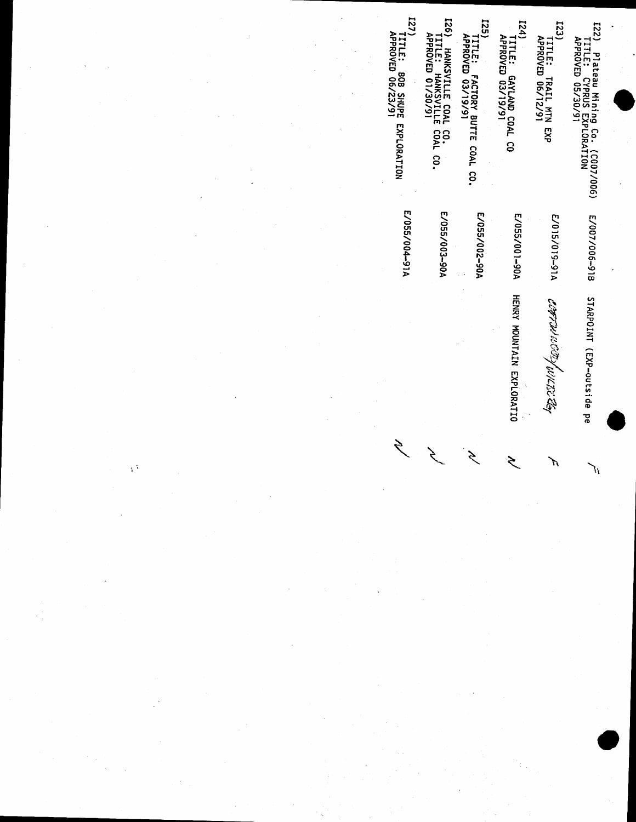

 $124)$ **TITLE: TRAIL MTN EXP<br>APPROVED 06/12/91** 

TITLE: GAYLAND COAL CO<br>APPROVED 03/19/91

**[25]** TITLE: FACTORY BUTTE COAL CO.<br>APPROVED 03/19/91

I26) HANKSVILLE COAL CO.<br>TITLE: HANKSVILLE COAL CO.<br>APROVED 01/30/91

 $127$ TITLE: BOB SHUPE EXPLORATION<br>APPROVED 06/23/91

ſſ

**CONTINUES OF ALLIES** 

7,

E/055/001-90A HENRY MOUNTAIN EXPLORATIO

ミ

E/055/002-90A

E/055/003-90A

E/055/004-91A

Ş

 $\bar{\ell}$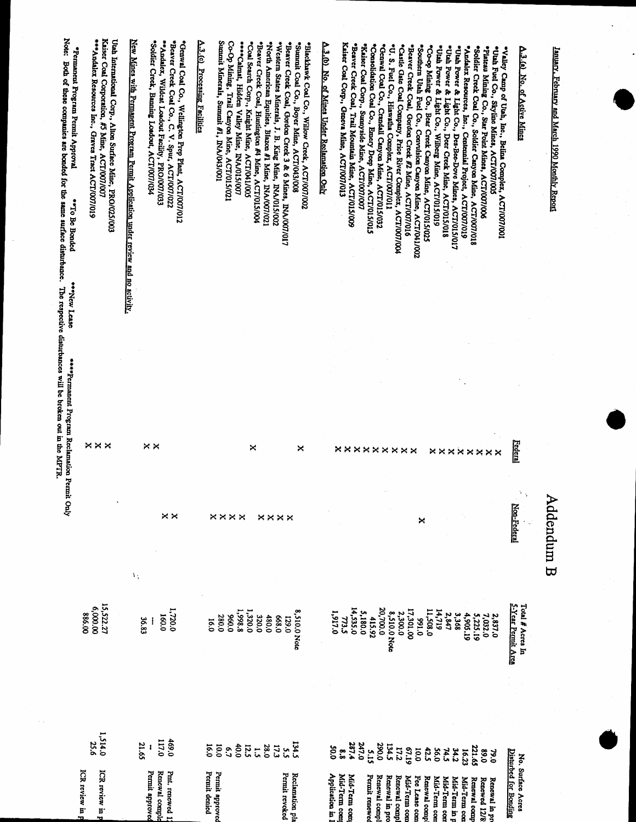| Note:<br>*Permanent Program Permit Approval<br>Both of these companies are bonded for the same surface disturbance.<br>**To Be Bonded<br>**New Lease | **Andalex Resources Inc., Graves Tract ACT/007/019 | Uah International Corp., Alton Surface Mine, PRO/025/003<br>Kaiser Coal Corporation, #5 Mine, ACT/007/007 | New Mines with Permanent Program Pennit Application under review and no activity. | "Soldier Creek, Banning Loadout, ACT/007/034 | "Andalex, Wildeat Loadout Facility, PRO/007/033<br>"Beaver Creek Coal Co., C. V. Spur, ACT/007/022 | "Genwal Coal Co., Wellington Prep Plant, ACT/007/012 | A.3.(c) Processing Facilities | Sunnnit Minerals, Sunnnit #1, INA/043/001          | Co-Op Mining, Trail Canyon Mine, ACT/015/021<br>****Calmat, Hidden Valley Mine, INA/015/007 | "Coal Search Corp., Knight Mine, ACT/041/005<br>"Beaver Creek Coal, Huntington #4 Mine, ACT/015/004 | "North American Equities, Blazon #1 Mine, INA/007/021 | "Beaver Creek Coal, Gordon Creek 3 & 6 Mines, INA/007/017<br>"Western States Minerals, J. B. King Mine, INA/015/002 | "Summit Coal Co., Boyer Mine, ACT/043/008 | "Blackhawk Coal Co., Willow Creck, ACT/007/002 | A.3.(b) No. of Mines Under Reclamation Only | Kaiser Coal Corp., Geneva Mine, ACT/007/013 | "Beaver Creek Coal, Trail Mountain Mine, ACT/015/009<br>"Kaiser Coal Corp., Sunnyside Mine, ACT/007/007 | "Consolidation Coal Co., Emery Deep Mine, ACT/015/015 | "Genwal Coal Co., Crandall Canyon Mine, ACT/015/032 | *U. S. Fuel Co., Hiswatha Complex, ACT/007/011<br>"Castle Gate Coal Company, Price River Complex, ACT/007/004 | *Beaver Creek Coal, Gordon Creek #2 Mine, ACT/007/016 | "Southern Utah Fuel Co., Convulsion Canyon Mine, ACT/041/002<br>"Co-op Mining Co., Bear Creck Canyon Mine, ACT/015/025 |                             | "Uah Power & Light Co., Deer Creek Mine, ACT/015/018<br>"Uah Power & Light Co., Wilberg Mine, ACT/015/019 | "Uah Power & Light Co., Des-Bee-Dove Mines, ACT/015/017<br>"Andalex Resources, Inc., Centennial Project, ACT/007/019 | "Soldier Creck Coal Co., Soldier Canyon Mine, ACT/007/018 | Plateau Mining Co., Star Point Mines, ACT/007/006 | *Utah Fuel Co., Skyline Mines, ACT/007/005<br>"Valley Camp of Utah, Inc., Belina Complex, ACT/007/001 |                       | A.3.(a) No. of Active Mines | January, February and March 1990 Monthly Report |
|------------------------------------------------------------------------------------------------------------------------------------------------------|----------------------------------------------------|-----------------------------------------------------------------------------------------------------------|-----------------------------------------------------------------------------------|----------------------------------------------|----------------------------------------------------------------------------------------------------|------------------------------------------------------|-------------------------------|----------------------------------------------------|---------------------------------------------------------------------------------------------|-----------------------------------------------------------------------------------------------------|-------------------------------------------------------|---------------------------------------------------------------------------------------------------------------------|-------------------------------------------|------------------------------------------------|---------------------------------------------|---------------------------------------------|---------------------------------------------------------------------------------------------------------|-------------------------------------------------------|-----------------------------------------------------|---------------------------------------------------------------------------------------------------------------|-------------------------------------------------------|------------------------------------------------------------------------------------------------------------------------|-----------------------------|-----------------------------------------------------------------------------------------------------------|----------------------------------------------------------------------------------------------------------------------|-----------------------------------------------------------|---------------------------------------------------|-------------------------------------------------------------------------------------------------------|-----------------------|-----------------------------|-------------------------------------------------|
| The respective disturbances will be broken out in the MPTR.<br>****Permanent Program Reclamation Permit                                              |                                                    | <b>xxx</b>                                                                                                | ××                                                                                |                                              |                                                                                                    |                                                      |                               |                                                    |                                                                                             | ×                                                                                                   |                                                       |                                                                                                                     | ×                                         |                                                |                                             |                                             | <b>xxxxxxxxx</b>                                                                                        |                                                       |                                                     |                                                                                                               |                                                       |                                                                                                                        |                             |                                                                                                           | <b>xxxxxxx</b>                                                                                                       |                                                           |                                                   |                                                                                                       | Federal               |                             |                                                 |
| <b>Suly</b>                                                                                                                                          |                                                    |                                                                                                           | ١ţ                                                                                |                                              | $\times\times$                                                                                     |                                                      |                               | <b>xxxx</b>                                        |                                                                                             |                                                                                                     | <b>xxxx</b>                                           |                                                                                                                     |                                           |                                                |                                             |                                             |                                                                                                         |                                                       |                                                     |                                                                                                               |                                                       | ×                                                                                                                      |                             |                                                                                                           |                                                                                                                      |                                                           |                                                   |                                                                                                       | Non-Federal           | Ų                           | Addendum B                                      |
|                                                                                                                                                      | 00'000'9<br>886.00                                 | 15,522.27                                                                                                 |                                                                                   | 36.83                                        | 1,720.0<br>160.0                                                                                   |                                                      | 16.0                          | 280.0                                              | 8'866'I<br>0'066                                                                            | 1,320.0                                                                                             | 320.0<br>480.0                                        | 0'899                                                                                                               | 8,510.0 Note<br>0.621                     |                                                | 1,917.0                                     | 773.5                                       | 14,535.0<br>5,180.0                                                                                     | 415.92                                                | 20,700.0                                            | 8,510.0 Note<br>2,300.0                                                                                       | 17,301.00                                             | 0'166                                                                                                                  | 11,508.0<br>14,719          | 2,847                                                                                                     | 3,368                                                                                                                | 4,905.19<br>5,225.19                                      | 7,032.0                                           | 2,837.0                                                                                               | 5-Year Permit Area    | Total # Acres In            |                                                 |
|                                                                                                                                                      | 25.6<br>ICR review in                              | 1,514.0<br>ICR review in                                                                                  |                                                                                   | 21.65<br>Permit approve                      | 117.0<br>469.0<br>Pmt. renewed 1<br>Renewal comple                                                 |                                                      | lá.0<br>Permit denied         | 0.01<br>$\mathcal{L}^{\bullet}$<br>Permit approved | 40.0                                                                                        | 12.5<br>$\ddot{5}$                                                                                  | 0.82                                                  | 5.5<br>Permit revoked                                                                                               | <b>134.5</b><br>Reclamation pla           |                                                | 500<br>Application in                       | $\frac{8}{8}$<br>Mid-Term com               | 247.0<br>287.4<br>Mid-Term com                                                                          | 51.5<br>Permit renewe                                 | 0.082<br>Renewal comp                               | 134.5<br>17.2<br>Renewal in pro<br>Renewal comp                                                               | 61'19<br>Mid-Term con                                 | 42.5<br><b>0'01</b><br>Fee Lease con<br>Renewal comp                                                                   | <b>56.0</b><br>Mid-Term con | 74.5<br>Mid-Term cor                                                                                      | 34.2<br>16.23<br>Mid-Term in p<br>Mid-Term con                                                                       | 221.65<br>Renewal comp                                    | 0.89<br>Renewed 12/8                              | <b>0.97</b><br>Renewal in pr                                                                          | Disturbed for Bonding | No. Surface Acres           |                                                 |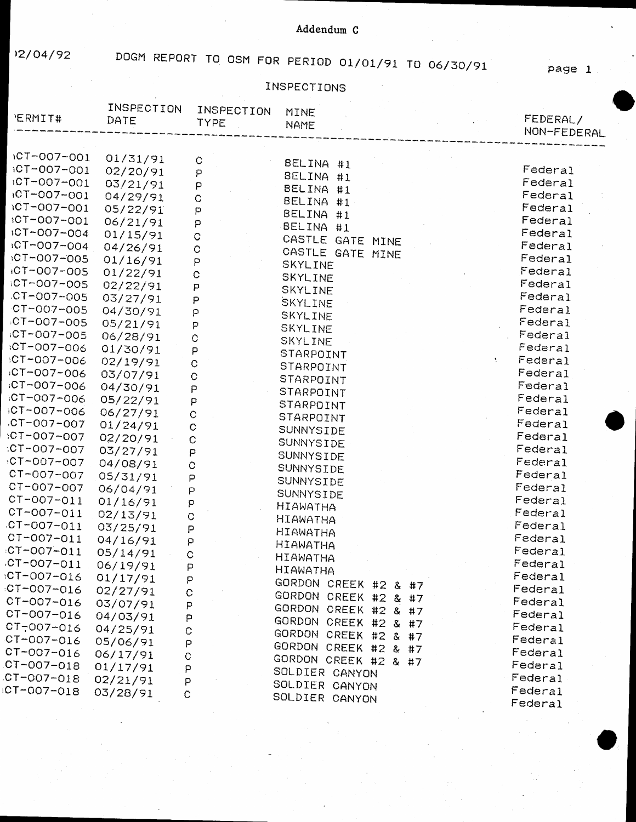12/04/92 DOGM REPORT TO OSM FOR PERIOD 01/01/91 TO 06/30/91

page 1

## INSPECTIONS

| <b>ERMIT#</b>              | INSPECTION<br>DATE | INSPECTION<br><b>TYPE</b>                                                                                                      | MINE<br><b>NAME</b>  |  | FEDERAL/<br>NON-FEDERAL |
|----------------------------|--------------------|--------------------------------------------------------------------------------------------------------------------------------|----------------------|--|-------------------------|
| ICT-007-001                | 01/31/91           |                                                                                                                                |                      |  |                         |
| $1C$ T-007-001             | 02/20/91           | $\mathbf C$                                                                                                                    | BELINA #1            |  | Federal                 |
| $1CT - 007 - 001$          | 03/21/91           | $\mathsf{P}% _{T}$<br>$\mathsf{P}% _{T}=\mathsf{P}_{T}\!\left( a,b\right) ,\mathsf{P}_{T}=\mathsf{P}_{T}\!\left( a,b\right) ,$ | BELINA #1            |  | Federal                 |
| +CT-007-001                | 04/29/91           | $\mathbf C$                                                                                                                    | BELINA #1            |  | Federal                 |
| 1CT-007-001                | 05/22/91           | P                                                                                                                              | BELINA #1            |  | Federal                 |
| ICT-007-001                | 06/21/91           | P                                                                                                                              | BELINA #1            |  | Federal                 |
| ICT-007-004                | 01/15/91           | $\mathbf C$                                                                                                                    | BELINA #1            |  | Federal                 |
| $10T - 007 - 004$          | 04/26/91           | $\mathbf C$                                                                                                                    | CASTLE GATE MINE     |  | Federal                 |
| :CT-007-005                | 01/16/91           | P                                                                                                                              | CASTLE GATE MINE     |  | Federal                 |
| iCT-007-005                | 01/22/91           | C                                                                                                                              | SKYLINE              |  | Federal                 |
| CT-007-005                 | 02/22/91           | P                                                                                                                              | SKYLINE              |  | Federal                 |
| $C$ T-007-005              | 03/27/91           | P                                                                                                                              | SKYLINE              |  | Federal                 |
| $CT - 007 - 005$           | 04/30/91           | p                                                                                                                              | SKYLINE<br>SKYLINE   |  | Federal                 |
| CT-007-005                 | 05/21/91           | P                                                                                                                              | SKYLINE              |  | Federal                 |
| CT-007-005                 | 06/28/91           | $\mathbb{C}$                                                                                                                   | SKYLINE              |  | Federal                 |
| :CT-007-006                | 01/30/91           | P                                                                                                                              | STARPOINT            |  | Federal                 |
| CT-007-006                 | 02/19/91           | C                                                                                                                              | STARPOINT            |  | Federal                 |
| :CT-007-006                | 03/07/91           | ¢                                                                                                                              | STARPOINT            |  | Federal                 |
| :CT-007-006                | 04/30/91           | P                                                                                                                              | STARPOINT            |  | Federal                 |
| CT-007-006                 | 05/22/91           | P                                                                                                                              | STARPOINT            |  | Federal                 |
| GT-007-006                 | 06/27/91           | $\circ$                                                                                                                        | STARPOINT            |  | Federal                 |
| $CT-007-007$               | 01/24/91           | C                                                                                                                              | SUNNYSIDE            |  | Federal                 |
| $10T - 007 - 007$          | 02/20/91           | C                                                                                                                              | SUNNYSIDE            |  | Federal                 |
| :CT-007-007                | 03/27/91           | P                                                                                                                              | SUNNYSIDE            |  | Federal                 |
| $10T - 007 - 007$          | 04/08/91           | $\mathbb{C}$                                                                                                                   | SUNNYSIDE            |  | Federal                 |
| CT-007-007                 | 05/31/91           | P                                                                                                                              | SUNNYSIDE            |  | Federal                 |
| CT-007-007                 | 06/04/91           | $\mathsf{P}$                                                                                                                   | SUNNYSIDE            |  | Federal                 |
| CT-007-011                 | 01/16/91           | $\mathsf{P}% _{T}=\mathsf{P}_{T}\!\left( a,b\right) ,\mathsf{P}_{T}=\mathsf{P}_{T}\!\left( a,b\right) ,$                       | <b>HIAWATHA</b>      |  | Federal                 |
| CT-007-011                 | 02/13/91           | $\ddot{\rm C}$                                                                                                                 | <b>HIAWATHA</b>      |  | Federal                 |
| $CT-007-011$               | 03/25/91           | $\mathsf{P}% _{T}$                                                                                                             | <b>HIAWATHA</b>      |  | Federal                 |
| CT-007-011                 | 04/16/91           | p                                                                                                                              | <b>HIAWATHA</b>      |  | Federal                 |
| $CT-007-011$               | 05/14/91           | Ċ                                                                                                                              | <b>HIAWATHA</b>      |  | Federal                 |
| $CT-007-011$               | 06/19/91           | Þ                                                                                                                              | <b>HIAWATHA</b>      |  | Federal                 |
| $CT - 007 - 016$           | 01/17/91           | P                                                                                                                              | GORDON CREEK #2 & #7 |  | Federal                 |
| :CT-007-016                | 02/27/91           | C                                                                                                                              | GORDON CREEK #2 & #7 |  | Federal                 |
| CT-007-016                 | 03/07/91           | P                                                                                                                              | GORDON CREEK #2 & #7 |  | Federal                 |
| CT-007-016                 | 04/03/91           | P                                                                                                                              | GORDON CREEK #2 & #7 |  | Federal                 |
| CT-007-016                 | 04/25/91           | $\mathbb{C}$                                                                                                                   | GORDON CREEK #2 & #7 |  | Federal                 |
| $CT-007-016$               | 05/06/91           | P                                                                                                                              | GORDON CREEK #2 & #7 |  | Federal                 |
| CT-007-016                 | 06/17/91           | $\mathbb C$                                                                                                                    | GORDON CREEK #2 & #7 |  | Federal                 |
| $CT - 007 - 018$           | 01/17/91           | P                                                                                                                              | SOLDIER CANYON       |  | Federal                 |
| $CT-OO7-O18$<br>CT-007-018 | 02/21/91           | $\mathsf{P}$                                                                                                                   | SOLDIER CANYON       |  | Federal                 |
|                            | 03/28/91           | $\mathbb C$                                                                                                                    | SOLDIER CANYON       |  | Federal<br>Federal      |
|                            |                    |                                                                                                                                |                      |  |                         |